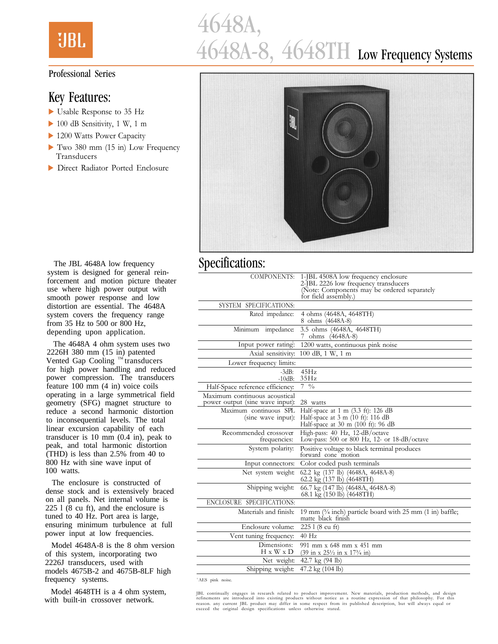## **UBL:**

# 4648A, 4648A-8, 4648TH Low Frequency Systems

#### Professional Series

#### Key Features:

- $\blacktriangleright$  Usable Response to 35 Hz
- $\blacktriangleright$  100 dB Sensitivity, 1 W, 1 m
- ▶ 1200 Watts Power Capacity
- $\blacktriangleright$  Two 380 mm (15 in) Low Frequency Transducers
- **Direct Radiator Ported Enclosure**



#### Specifications:

The JBL 4648A low frequency system is designed for general reinforcement and motion picture theater use where high power output with smooth power response and low distortion are essential. The 4648A system covers the frequency range from 35 Hz to 500 or 800 Hz, depending upon application.

The 4648A 4 ohm system uses two 2226H 380 mm (15 in) patented Vented Gap Cooling ™ transducers for high power handling and reduced power compression. The transducers feature 100 mm (4 in) voice coils operating in a large symmetrical field geometry (SFG) magnet structure to reduce a second harmonic distortion to inconsequential levels. The total linear excursion capability of each transducer is 10 mm (0.4 in), peak to peak, and total harmonic distortion (THD) is less than 2.5% from 40 to 800 Hz with sine wave input of 100 watts.

The enclosure is constructed of dense stock and is extensively braced on all panels. Net internal volume is 225 l (8 cu ft), and the enclosure is tuned to 40 Hz. Port area is large, ensuring minimum turbulence at full power input at low frequencies.

Model 4648A-8 is the 8 ohm version of this system, incorporating two 2226J transducers, used with models 4675B-2 and 4675B-8LF high frequency systems.

Model 4648TH is a 4 ohm system, with built-in crossover network.

| <b>COMPONENTS:</b>                                               | 1-JBL 4508A low frequency enclosure<br>2-JBL 2226 low frequency transducers<br>(Note: Components may be ordered separately<br>for field assembly.) |
|------------------------------------------------------------------|----------------------------------------------------------------------------------------------------------------------------------------------------|
| SYSTEM SPECIFICATIONS:                                           |                                                                                                                                                    |
| Rated impedance:                                                 | 4 ohms (4648A, 4648TH)<br>8 ohms (4648A-8)                                                                                                         |
| Minimum impedance:                                               | 3.5 ohms (4648A, 4648TH)<br>ohms (4648A-8)<br>7.                                                                                                   |
| Input power rating:                                              | 1200 watts, continuous pink noise                                                                                                                  |
| Axial sensitivity:                                               | 100 dB, 1 W, 1 m                                                                                                                                   |
| Lower frequency limits:                                          |                                                                                                                                                    |
| $-3dB$ :<br>$-10dB$ :                                            | 45Hz<br>35Hz                                                                                                                                       |
| Half-Space reference efficiency:                                 | $\frac{0}{0}$<br>7                                                                                                                                 |
| Maximum continuous acoustical<br>power output (sine wave input): | 28 watts                                                                                                                                           |
| Maximum continuous SPL<br>(sine wave input):                     | Half-space at 1 m $(3.3 \text{ ft})$ : 126 dB<br>Half-space at $3 \text{ m}$ (10 ft): 116 dB<br>Half-space at 30 m (100 ft): 96 dB                 |
| Recommended crossover<br>frequencies:                            | High-pass: 40 Hz, 12-dB/octave<br>Low-pass: 500 or 800 Hz, 12- or 18-dB/octave                                                                     |
| System polarity:                                                 | Positive voltage to black terminal produces<br>forward cone motion                                                                                 |
| Input connectors:                                                | Color coded push terminals                                                                                                                         |
| Net system weight:                                               | 62.2 kg (137 lb) (4648A, 4648A-8)<br>62.2 kg (137 lb) (4648TH)                                                                                     |
| Shipping weight:                                                 | 66.7 kg (147 lb) (4648A, 4648A-8)<br>68.1 kg (150 lb) (4648TH)                                                                                     |
| ENCLOSURE SPECIFICATIONS:                                        |                                                                                                                                                    |
| Materials and finish:                                            | 19 mm (3/4 inch) particle board with 25 mm (1 in) baffle;<br>matte black finish                                                                    |
| Enclosure volume:                                                | 225 l (8 cu ft)                                                                                                                                    |
| Vent tuning frequency:                                           | $40$ Hz                                                                                                                                            |
| Dimensions:<br>H x W x D                                         | 991 mm x 648 mm x 451 mm<br>$(39 \text{ in } x\ 25\frac{1}{2} \text{ in } x\ 17\frac{3}{4} \text{ in})$                                            |
| Net weight:                                                      | 42.7 kg (94 lb)                                                                                                                                    |
| Shipping weight:                                                 | 47.2 kg (104 lb)                                                                                                                                   |

<sup>1</sup>AES pink noise.

JBL continually engages in research related to product improvement. New materials, production methods, and design<br>refinements are introduced into existing products without notice as a routine expression of that philosophy. exceed the original design specifications unless otherwise stated.